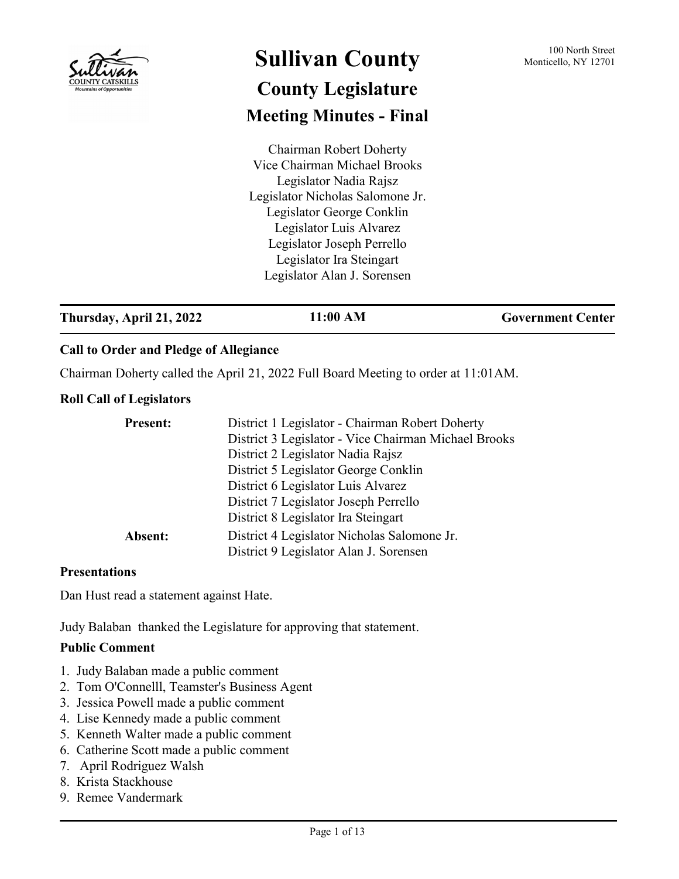

# **Sullivan County** 100 North Street 100 North Street **County Legislature Meeting Minutes - Final**

Chairman Robert Doherty Vice Chairman Michael Brooks Legislator Nadia Rajsz Legislator Nicholas Salomone Jr. Legislator George Conklin Legislator Luis Alvarez Legislator Joseph Perrello Legislator Ira Steingart Legislator Alan J. Sorensen

## **Thursday, April 21, 2022 11:00 AM Government Center**

## **Call to Order and Pledge of Allegiance**

Chairman Doherty called the April 21, 2022 Full Board Meeting to order at 11:01AM.

### **Roll Call of Legislators**

| <b>Present:</b> | District 1 Legislator - Chairman Robert Doherty      |
|-----------------|------------------------------------------------------|
|                 | District 3 Legislator - Vice Chairman Michael Brooks |
|                 | District 2 Legislator Nadia Rajsz                    |
|                 | District 5 Legislator George Conklin                 |
|                 | District 6 Legislator Luis Alvarez                   |
|                 | District 7 Legislator Joseph Perrello                |
|                 | District 8 Legislator Ira Steingart                  |
| Absent:         | District 4 Legislator Nicholas Salomone Jr.          |
|                 | District 9 Legislator Alan J. Sorensen               |

#### **Presentations**

Dan Hust read a statement against Hate.

Judy Balaban thanked the Legislature for approving that statement.

## **Public Comment**

- 1. Judy Balaban made a public comment
- 2. Tom O'Connelll, Teamster's Business Agent
- 3. Jessica Powell made a public comment
- 4. Lise Kennedy made a public comment
- 5. Kenneth Walter made a public comment
- 6. Catherine Scott made a public comment
- 7. April Rodriguez Walsh
- 8. Krista Stackhouse
- 9. Remee Vandermark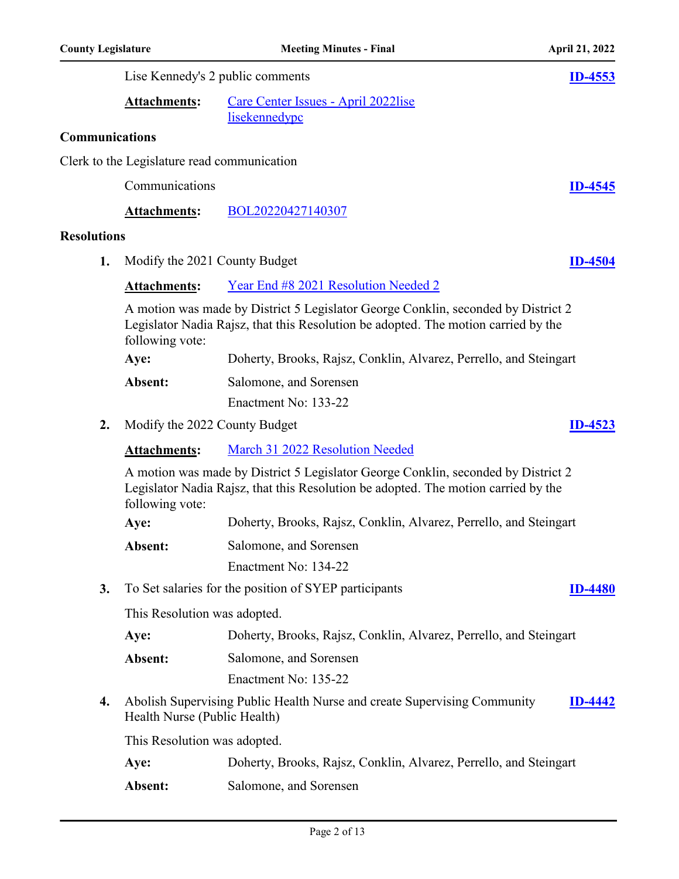|                       |                                             | Lise Kennedy's 2 public comments                                                                                                                                        | <b>ID-4553</b> |
|-----------------------|---------------------------------------------|-------------------------------------------------------------------------------------------------------------------------------------------------------------------------|----------------|
|                       | <b>Attachments:</b>                         | Care Center Issues - April 2022lise<br>lisekennedypc                                                                                                                    |                |
| <b>Communications</b> |                                             |                                                                                                                                                                         |                |
|                       | Clerk to the Legislature read communication |                                                                                                                                                                         |                |
|                       | Communications                              |                                                                                                                                                                         | $ID-4545$      |
|                       | <b>Attachments:</b>                         | BOL20220427140307                                                                                                                                                       |                |
| <b>Resolutions</b>    |                                             |                                                                                                                                                                         |                |
| 1.                    | Modify the 2021 County Budget               |                                                                                                                                                                         | <b>ID-4504</b> |
|                       | <b>Attachments:</b>                         | Year End #8 2021 Resolution Needed 2                                                                                                                                    |                |
|                       | following vote:                             | A motion was made by District 5 Legislator George Conklin, seconded by District 2<br>Legislator Nadia Rajsz, that this Resolution be adopted. The motion carried by the |                |
|                       | Aye:                                        | Doherty, Brooks, Rajsz, Conklin, Alvarez, Perrello, and Steingart                                                                                                       |                |
|                       | Absent:                                     | Salomone, and Sorensen                                                                                                                                                  |                |
|                       |                                             | Enactment No: 133-22                                                                                                                                                    |                |
| 2.                    | Modify the 2022 County Budget               |                                                                                                                                                                         | <b>ID-4523</b> |
|                       | <b>Attachments:</b>                         | March 31 2022 Resolution Needed                                                                                                                                         |                |
|                       | following vote:                             | A motion was made by District 5 Legislator George Conklin, seconded by District 2<br>Legislator Nadia Rajsz, that this Resolution be adopted. The motion carried by the |                |
|                       | Aye:                                        | Doherty, Brooks, Rajsz, Conklin, Alvarez, Perrello, and Steingart                                                                                                       |                |
|                       | Absent:                                     | Salomone, and Sorensen                                                                                                                                                  |                |
|                       |                                             | Enactment No: 134-22                                                                                                                                                    |                |
| 3.                    |                                             | To Set salaries for the position of SYEP participants                                                                                                                   | <b>ID-4480</b> |
|                       | This Resolution was adopted.                |                                                                                                                                                                         |                |
|                       | Aye:                                        | Doherty, Brooks, Rajsz, Conklin, Alvarez, Perrello, and Steingart                                                                                                       |                |
|                       | Absent:                                     | Salomone, and Sorensen                                                                                                                                                  |                |
|                       |                                             | Enactment No: 135-22                                                                                                                                                    |                |
| 4.                    | Health Nurse (Public Health)                | Abolish Supervising Public Health Nurse and create Supervising Community                                                                                                | $1D-4442$      |
|                       | This Resolution was adopted.                |                                                                                                                                                                         |                |
|                       | Aye:                                        | Doherty, Brooks, Rajsz, Conklin, Alvarez, Perrello, and Steingart                                                                                                       |                |
|                       | Absent:                                     | Salomone, and Sorensen                                                                                                                                                  |                |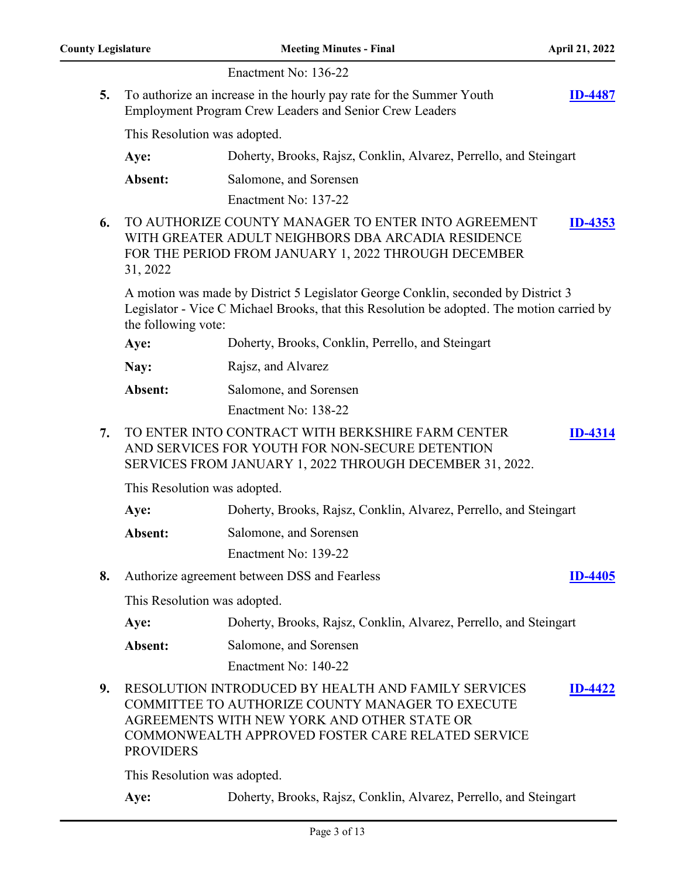|    |                              | Enactment No: 136-22                                                                                                                                                                                                      |                |
|----|------------------------------|---------------------------------------------------------------------------------------------------------------------------------------------------------------------------------------------------------------------------|----------------|
| 5. |                              | To authorize an increase in the hourly pay rate for the Summer Youth<br><b>Employment Program Crew Leaders and Senior Crew Leaders</b>                                                                                    | <b>ID-4487</b> |
|    | This Resolution was adopted. |                                                                                                                                                                                                                           |                |
|    | Aye:                         | Doherty, Brooks, Rajsz, Conklin, Alvarez, Perrello, and Steingart                                                                                                                                                         |                |
|    | Absent:                      | Salomone, and Sorensen                                                                                                                                                                                                    |                |
|    |                              | Enactment No: 137-22                                                                                                                                                                                                      |                |
| 6. | 31, 2022                     | TO AUTHORIZE COUNTY MANAGER TO ENTER INTO AGREEMENT<br>WITH GREATER ADULT NEIGHBORS DBA ARCADIA RESIDENCE<br>FOR THE PERIOD FROM JANUARY 1, 2022 THROUGH DECEMBER                                                         | <u>ID-4353</u> |
|    | the following vote:          | A motion was made by District 5 Legislator George Conklin, seconded by District 3<br>Legislator - Vice C Michael Brooks, that this Resolution be adopted. The motion carried by                                           |                |
|    | Aye:                         | Doherty, Brooks, Conklin, Perrello, and Steingart                                                                                                                                                                         |                |
|    | Nay:                         | Rajsz, and Alvarez                                                                                                                                                                                                        |                |
|    | Absent:                      | Salomone, and Sorensen                                                                                                                                                                                                    |                |
|    |                              | Enactment No: 138-22                                                                                                                                                                                                      |                |
| 7. |                              | TO ENTER INTO CONTRACT WITH BERKSHIRE FARM CENTER<br>AND SERVICES FOR YOUTH FOR NON-SECURE DETENTION<br>SERVICES FROM JANUARY 1, 2022 THROUGH DECEMBER 31, 2022.                                                          | <b>ID-4314</b> |
|    | This Resolution was adopted. |                                                                                                                                                                                                                           |                |
|    | Aye:                         | Doherty, Brooks, Rajsz, Conklin, Alvarez, Perrello, and Steingart                                                                                                                                                         |                |
|    | Absent:                      | Salomone, and Sorensen                                                                                                                                                                                                    |                |
|    |                              | Enactment No: 139-22                                                                                                                                                                                                      |                |
| 8. |                              | Authorize agreement between DSS and Fearless                                                                                                                                                                              | <b>ID-4405</b> |
|    | This Resolution was adopted. |                                                                                                                                                                                                                           |                |
|    | Aye:                         | Doherty, Brooks, Rajsz, Conklin, Alvarez, Perrello, and Steingart                                                                                                                                                         |                |
|    | Absent:                      | Salomone, and Sorensen                                                                                                                                                                                                    |                |
|    |                              | Enactment No: 140-22                                                                                                                                                                                                      |                |
| 9. | <b>PROVIDERS</b>             | <b>RESOLUTION INTRODUCED BY HEALTH AND FAMILY SERVICES</b><br><b>COMMITTEE TO AUTHORIZE COUNTY MANAGER TO EXECUTE</b><br>AGREEMENTS WITH NEW YORK AND OTHER STATE OR<br>COMMONWEALTH APPROVED FOSTER CARE RELATED SERVICE | <u>ID-4422</u> |

This Resolution was adopted.

**Aye:** Doherty, Brooks, Rajsz, Conklin, Alvarez, Perrello, and Steingart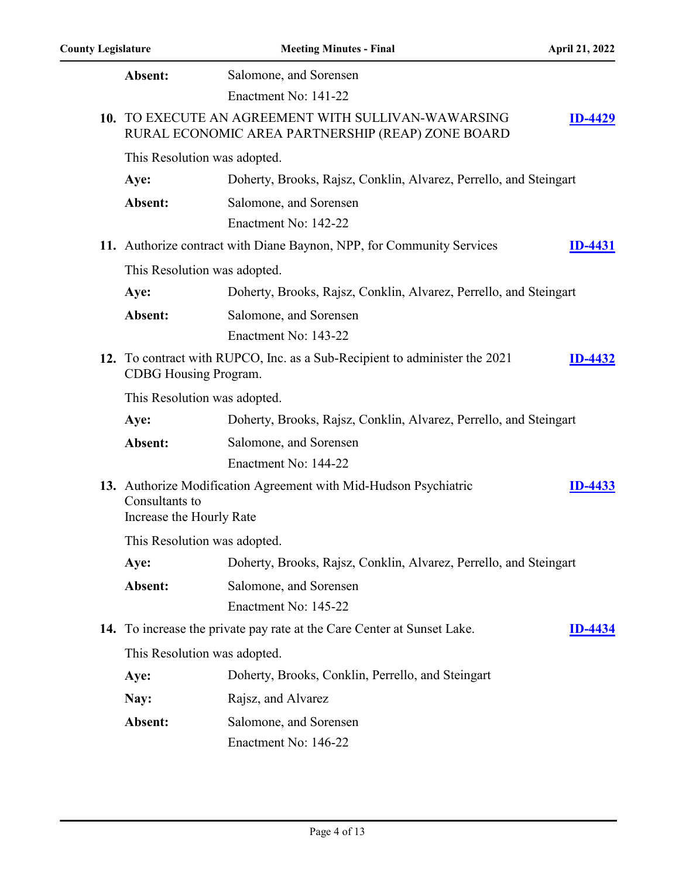| Absent:                                    | Salomone, and Sorensen                                                                                   |                |
|--------------------------------------------|----------------------------------------------------------------------------------------------------------|----------------|
|                                            | Enactment No: 141-22                                                                                     |                |
|                                            | 10. TO EXECUTE AN AGREEMENT WITH SULLIVAN-WAWARSING<br>RURAL ECONOMIC AREA PARTNERSHIP (REAP) ZONE BOARD | <b>ID-4429</b> |
| This Resolution was adopted.               |                                                                                                          |                |
| Aye:                                       | Doherty, Brooks, Rajsz, Conklin, Alvarez, Perrello, and Steingart                                        |                |
| Absent:                                    | Salomone, and Sorensen                                                                                   |                |
|                                            | Enactment No: 142-22                                                                                     |                |
|                                            | 11. Authorize contract with Diane Baynon, NPP, for Community Services                                    | <b>ID-4431</b> |
| This Resolution was adopted.               |                                                                                                          |                |
| Aye:                                       | Doherty, Brooks, Rajsz, Conklin, Alvarez, Perrello, and Steingart                                        |                |
| Absent:                                    | Salomone, and Sorensen                                                                                   |                |
|                                            | Enactment No: 143-22                                                                                     |                |
| CDBG Housing Program.                      | 12. To contract with RUPCO, Inc. as a Sub-Recipient to administer the 2021                               | <b>ID-4432</b> |
| This Resolution was adopted.               |                                                                                                          |                |
| Aye:                                       | Doherty, Brooks, Rajsz, Conklin, Alvarez, Perrello, and Steingart                                        |                |
| Absent:                                    | Salomone, and Sorensen                                                                                   |                |
|                                            | Enactment No: 144-22                                                                                     |                |
| Consultants to<br>Increase the Hourly Rate | 13. Authorize Modification Agreement with Mid-Hudson Psychiatric                                         | <b>ID-4433</b> |
| This Resolution was adopted.               |                                                                                                          |                |
| Aye:                                       | Doherty, Brooks, Rajsz, Conklin, Alvarez, Perrello, and Steingart                                        |                |
| Absent:                                    | Salomone, and Sorensen                                                                                   |                |
|                                            | Enactment No: 145-22                                                                                     |                |
|                                            | 14. To increase the private pay rate at the Care Center at Sunset Lake.                                  | <b>ID-4434</b> |
| This Resolution was adopted.               |                                                                                                          |                |
| Aye:                                       | Doherty, Brooks, Conklin, Perrello, and Steingart                                                        |                |
| Nay:                                       | Rajsz, and Alvarez                                                                                       |                |
| Absent:                                    | Salomone, and Sorensen                                                                                   |                |
|                                            | Enactment No: 146-22                                                                                     |                |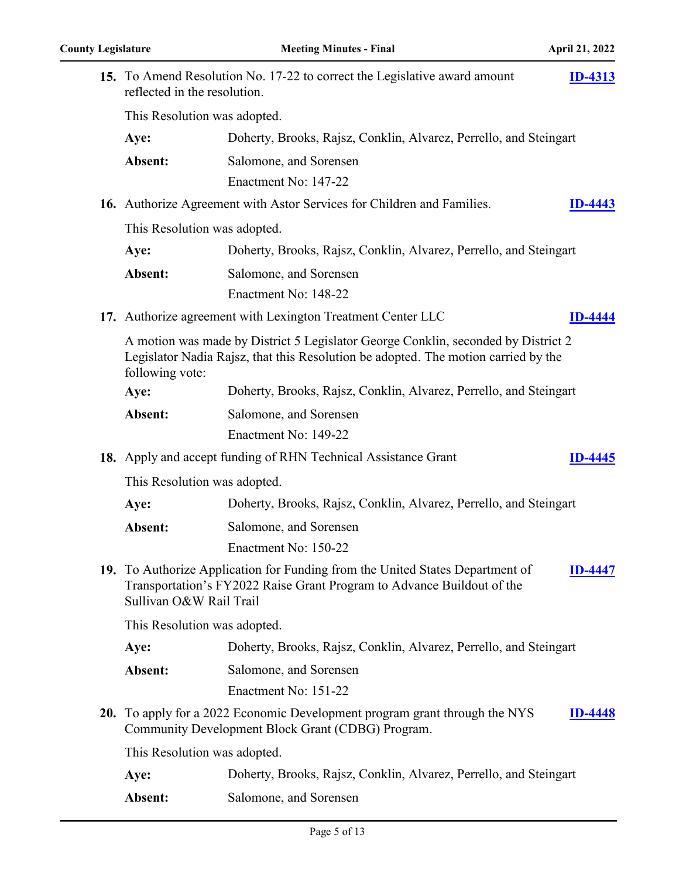| 15. To Amend Resolution No. 17-22 to correct the Legislative award amount<br>reflected in the resolution. |                                                                                                                                                                         | <b>ID-4313</b> |
|-----------------------------------------------------------------------------------------------------------|-------------------------------------------------------------------------------------------------------------------------------------------------------------------------|----------------|
| This Resolution was adopted.                                                                              |                                                                                                                                                                         |                |
| Aye:                                                                                                      | Doherty, Brooks, Rajsz, Conklin, Alvarez, Perrello, and Steingart                                                                                                       |                |
| Absent:                                                                                                   | Salomone, and Sorensen                                                                                                                                                  |                |
|                                                                                                           | Enactment No: 147-22                                                                                                                                                    |                |
|                                                                                                           | 16. Authorize Agreement with Astor Services for Children and Families.                                                                                                  | <b>ID-4443</b> |
| This Resolution was adopted.                                                                              |                                                                                                                                                                         |                |
| Aye:                                                                                                      | Doherty, Brooks, Rajsz, Conklin, Alvarez, Perrello, and Steingart                                                                                                       |                |
| Absent:                                                                                                   | Salomone, and Sorensen                                                                                                                                                  |                |
|                                                                                                           | Enactment No: 148-22                                                                                                                                                    |                |
|                                                                                                           | 17. Authorize agreement with Lexington Treatment Center LLC                                                                                                             | <b>ID-4444</b> |
| following vote:                                                                                           | A motion was made by District 5 Legislator George Conklin, seconded by District 2<br>Legislator Nadia Rajsz, that this Resolution be adopted. The motion carried by the |                |
| Aye:                                                                                                      | Doherty, Brooks, Rajsz, Conklin, Alvarez, Perrello, and Steingart                                                                                                       |                |
| Absent:                                                                                                   | Salomone, and Sorensen                                                                                                                                                  |                |
|                                                                                                           | Enactment No: 149-22                                                                                                                                                    |                |
|                                                                                                           | 18. Apply and accept funding of RHN Technical Assistance Grant                                                                                                          | ID-4445        |
| This Resolution was adopted.                                                                              |                                                                                                                                                                         |                |
| Aye:                                                                                                      | Doherty, Brooks, Rajsz, Conklin, Alvarez, Perrello, and Steingart                                                                                                       |                |
| Absent:                                                                                                   | Salomone, and Sorensen                                                                                                                                                  |                |
|                                                                                                           | Enactment No: 150-22                                                                                                                                                    |                |
| Sullivan O&W Rail Trail                                                                                   | 19. To Authorize Application for Funding from the United States Department of<br>Transportation's FY2022 Raise Grant Program to Advance Buildout of the                 | <b>ID-4447</b> |
| This Resolution was adopted.                                                                              |                                                                                                                                                                         |                |
| Aye:                                                                                                      | Doherty, Brooks, Rajsz, Conklin, Alvarez, Perrello, and Steingart                                                                                                       |                |
| Absent:                                                                                                   | Salomone, and Sorensen                                                                                                                                                  |                |
|                                                                                                           | Enactment No: 151-22                                                                                                                                                    |                |
|                                                                                                           | 20. To apply for a 2022 Economic Development program grant through the NYS<br>Community Development Block Grant (CDBG) Program.                                         | 110-4448       |
| This Resolution was adopted.                                                                              |                                                                                                                                                                         |                |
| Aye:                                                                                                      | Doherty, Brooks, Rajsz, Conklin, Alvarez, Perrello, and Steingart                                                                                                       |                |
| Absent:                                                                                                   | Salomone, and Sorensen                                                                                                                                                  |                |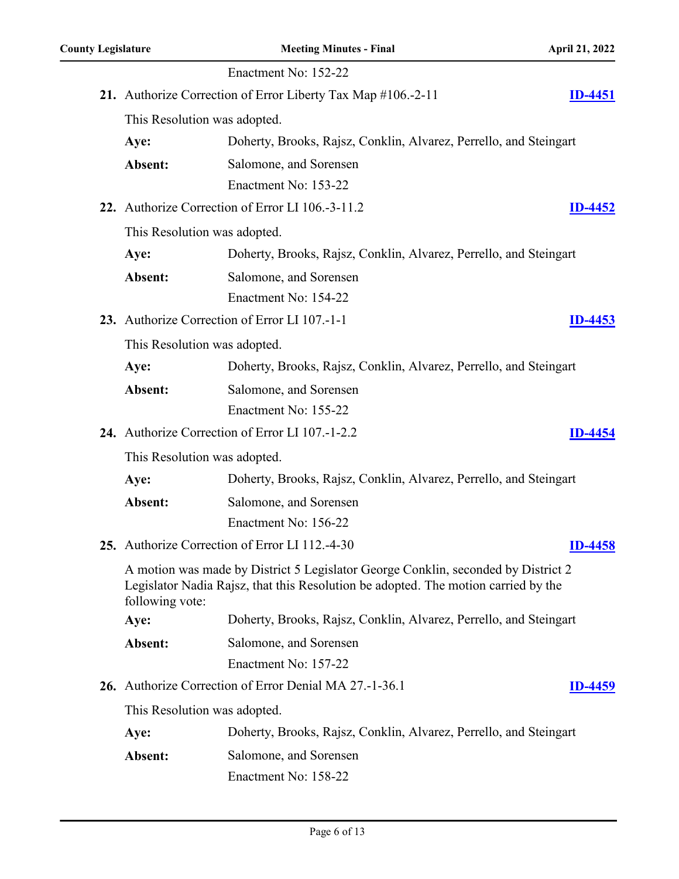|                              | Enactment No: 152-22                                                                                                                                                    |                |
|------------------------------|-------------------------------------------------------------------------------------------------------------------------------------------------------------------------|----------------|
|                              | 21. Authorize Correction of Error Liberty Tax Map #106.-2-11                                                                                                            | <b>ID-4451</b> |
| This Resolution was adopted. |                                                                                                                                                                         |                |
| Aye:                         | Doherty, Brooks, Rajsz, Conklin, Alvarez, Perrello, and Steingart                                                                                                       |                |
| Absent:                      | Salomone, and Sorensen                                                                                                                                                  |                |
|                              | Enactment No: 153-22                                                                                                                                                    |                |
|                              | 22. Authorize Correction of Error LI 106.-3-11.2                                                                                                                        | ID-4452        |
| This Resolution was adopted. |                                                                                                                                                                         |                |
| Aye:                         | Doherty, Brooks, Rajsz, Conklin, Alvarez, Perrello, and Steingart                                                                                                       |                |
| Absent:                      | Salomone, and Sorensen                                                                                                                                                  |                |
|                              | Enactment No: 154-22                                                                                                                                                    |                |
|                              | 23. Authorize Correction of Error LI 107.-1-1                                                                                                                           | $ID-4453$      |
| This Resolution was adopted. |                                                                                                                                                                         |                |
| Aye:                         | Doherty, Brooks, Rajsz, Conklin, Alvarez, Perrello, and Steingart                                                                                                       |                |
| Absent:                      | Salomone, and Sorensen                                                                                                                                                  |                |
|                              | Enactment No: 155-22                                                                                                                                                    |                |
|                              | 24. Authorize Correction of Error LI 107.-1-2.2                                                                                                                         | <b>ID-4454</b> |
| This Resolution was adopted. |                                                                                                                                                                         |                |
| Aye:                         | Doherty, Brooks, Rajsz, Conklin, Alvarez, Perrello, and Steingart                                                                                                       |                |
| Absent:                      | Salomone, and Sorensen                                                                                                                                                  |                |
|                              | Enactment No: 156-22                                                                                                                                                    |                |
|                              | 25. Authorize Correction of Error LI 112.-4-30                                                                                                                          | ID-4458        |
| following vote:              | A motion was made by District 5 Legislator George Conklin, seconded by District 2<br>Legislator Nadia Rajsz, that this Resolution be adopted. The motion carried by the |                |
| Aye:                         | Doherty, Brooks, Rajsz, Conklin, Alvarez, Perrello, and Steingart                                                                                                       |                |
| Absent:                      | Salomone, and Sorensen                                                                                                                                                  |                |
|                              | Enactment No: 157-22                                                                                                                                                    |                |
|                              | 26. Authorize Correction of Error Denial MA 27.-1-36.1                                                                                                                  | <b>ID-4459</b> |
| This Resolution was adopted. |                                                                                                                                                                         |                |
| Aye:                         | Doherty, Brooks, Rajsz, Conklin, Alvarez, Perrello, and Steingart                                                                                                       |                |
| Absent:                      | Salomone, and Sorensen                                                                                                                                                  |                |
|                              | Enactment No: 158-22                                                                                                                                                    |                |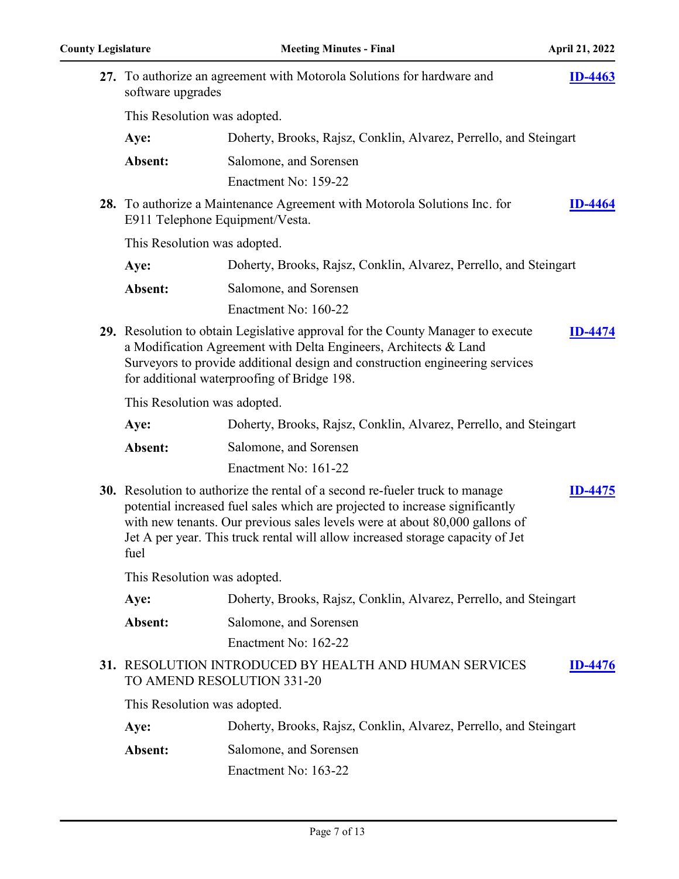| software upgrades               | 27. To authorize an agreement with Motorola Solutions for hardware and                                                                                                                                                                                                                                                        | <b>ID-4463</b> |
|---------------------------------|-------------------------------------------------------------------------------------------------------------------------------------------------------------------------------------------------------------------------------------------------------------------------------------------------------------------------------|----------------|
| This Resolution was adopted.    |                                                                                                                                                                                                                                                                                                                               |                |
| Aye:                            | Doherty, Brooks, Rajsz, Conklin, Alvarez, Perrello, and Steingart                                                                                                                                                                                                                                                             |                |
| Absent:                         | Salomone, and Sorensen                                                                                                                                                                                                                                                                                                        |                |
|                                 | Enactment No: 159-22                                                                                                                                                                                                                                                                                                          |                |
| E911 Telephone Equipment/Vesta. | 28. To authorize a Maintenance Agreement with Motorola Solutions Inc. for                                                                                                                                                                                                                                                     | <b>ID-4464</b> |
| This Resolution was adopted.    |                                                                                                                                                                                                                                                                                                                               |                |
| Aye:                            | Doherty, Brooks, Rajsz, Conklin, Alvarez, Perrello, and Steingart                                                                                                                                                                                                                                                             |                |
| Absent:                         | Salomone, and Sorensen                                                                                                                                                                                                                                                                                                        |                |
|                                 | Enactment No: 160-22                                                                                                                                                                                                                                                                                                          |                |
|                                 | 29. Resolution to obtain Legislative approval for the County Manager to execute<br>a Modification Agreement with Delta Engineers, Architects & Land<br>Surveyors to provide additional design and construction engineering services<br>for additional waterproofing of Bridge 198.                                            | <b>ID-4474</b> |
| This Resolution was adopted.    |                                                                                                                                                                                                                                                                                                                               |                |
| Aye:                            | Doherty, Brooks, Rajsz, Conklin, Alvarez, Perrello, and Steingart                                                                                                                                                                                                                                                             |                |
| Absent:                         | Salomone, and Sorensen                                                                                                                                                                                                                                                                                                        |                |
|                                 | Enactment No: 161-22                                                                                                                                                                                                                                                                                                          |                |
| fuel                            | 30. Resolution to authorize the rental of a second re-fueler truck to manage<br>potential increased fuel sales which are projected to increase significantly<br>with new tenants. Our previous sales levels were at about 80,000 gallons of<br>Jet A per year. This truck rental will allow increased storage capacity of Jet | <b>ID-4475</b> |
| This Resolution was adopted.    |                                                                                                                                                                                                                                                                                                                               |                |
| Aye:                            | Doherty, Brooks, Rajsz, Conklin, Alvarez, Perrello, and Steingart                                                                                                                                                                                                                                                             |                |
| Absent:                         | Salomone, and Sorensen                                                                                                                                                                                                                                                                                                        |                |
|                                 | Enactment No: 162-22                                                                                                                                                                                                                                                                                                          |                |
|                                 | 31. RESOLUTION INTRODUCED BY HEALTH AND HUMAN SERVICES<br>TO AMEND RESOLUTION 331-20                                                                                                                                                                                                                                          | <b>ID-4476</b> |
| This Resolution was adopted.    |                                                                                                                                                                                                                                                                                                                               |                |
| Aye:                            | Doherty, Brooks, Rajsz, Conklin, Alvarez, Perrello, and Steingart                                                                                                                                                                                                                                                             |                |
| Absent:                         | Salomone, and Sorensen<br>Enactment No: 163-22                                                                                                                                                                                                                                                                                |                |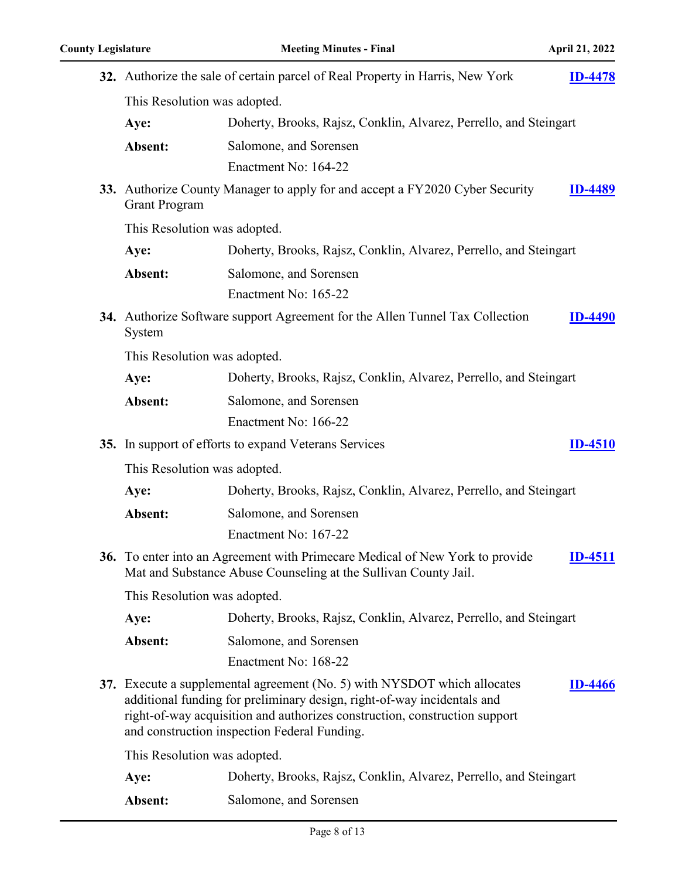|                              | 32. Authorize the sale of certain parcel of Real Property in Harris, New York                                                                                                                                                                                                     | <b>ID-4478</b> |
|------------------------------|-----------------------------------------------------------------------------------------------------------------------------------------------------------------------------------------------------------------------------------------------------------------------------------|----------------|
| This Resolution was adopted. |                                                                                                                                                                                                                                                                                   |                |
| Aye:                         | Doherty, Brooks, Rajsz, Conklin, Alvarez, Perrello, and Steingart                                                                                                                                                                                                                 |                |
| Absent:                      | Salomone, and Sorensen                                                                                                                                                                                                                                                            |                |
|                              | Enactment No: 164-22                                                                                                                                                                                                                                                              |                |
| <b>Grant Program</b>         | 33. Authorize County Manager to apply for and accept a FY2020 Cyber Security                                                                                                                                                                                                      | <b>ID-4489</b> |
| This Resolution was adopted. |                                                                                                                                                                                                                                                                                   |                |
| Aye:                         | Doherty, Brooks, Rajsz, Conklin, Alvarez, Perrello, and Steingart                                                                                                                                                                                                                 |                |
| Absent:                      | Salomone, and Sorensen                                                                                                                                                                                                                                                            |                |
|                              | Enactment No: 165-22                                                                                                                                                                                                                                                              |                |
| System                       | 34. Authorize Software support Agreement for the Allen Tunnel Tax Collection                                                                                                                                                                                                      | <b>ID-4490</b> |
| This Resolution was adopted. |                                                                                                                                                                                                                                                                                   |                |
| Aye:                         | Doherty, Brooks, Rajsz, Conklin, Alvarez, Perrello, and Steingart                                                                                                                                                                                                                 |                |
| Absent:                      | Salomone, and Sorensen                                                                                                                                                                                                                                                            |                |
|                              | Enactment No: 166-22                                                                                                                                                                                                                                                              |                |
|                              | 35. In support of efforts to expand Veterans Services                                                                                                                                                                                                                             | <b>ID-4510</b> |
| This Resolution was adopted. |                                                                                                                                                                                                                                                                                   |                |
| Aye:                         | Doherty, Brooks, Rajsz, Conklin, Alvarez, Perrello, and Steingart                                                                                                                                                                                                                 |                |
| Absent:                      | Salomone, and Sorensen                                                                                                                                                                                                                                                            |                |
|                              | Enactment No: 167-22                                                                                                                                                                                                                                                              |                |
|                              | 36. To enter into an Agreement with Primecare Medical of New York to provide<br>Mat and Substance Abuse Counseling at the Sullivan County Jail.                                                                                                                                   | <b>ID-4511</b> |
| This Resolution was adopted. |                                                                                                                                                                                                                                                                                   |                |
| Aye:                         | Doherty, Brooks, Rajsz, Conklin, Alvarez, Perrello, and Steingart                                                                                                                                                                                                                 |                |
| Absent:                      | Salomone, and Sorensen                                                                                                                                                                                                                                                            |                |
|                              | Enactment No: 168-22                                                                                                                                                                                                                                                              |                |
|                              | 37. Execute a supplemental agreement (No. 5) with NYSDOT which allocates<br>additional funding for preliminary design, right-of-way incidentals and<br>right-of-way acquisition and authorizes construction, construction support<br>and construction inspection Federal Funding. | <b>ID-4466</b> |
| This Resolution was adopted. |                                                                                                                                                                                                                                                                                   |                |
| Aye:                         | Doherty, Brooks, Rajsz, Conklin, Alvarez, Perrello, and Steingart                                                                                                                                                                                                                 |                |
| Absent:                      | Salomone, and Sorensen                                                                                                                                                                                                                                                            |                |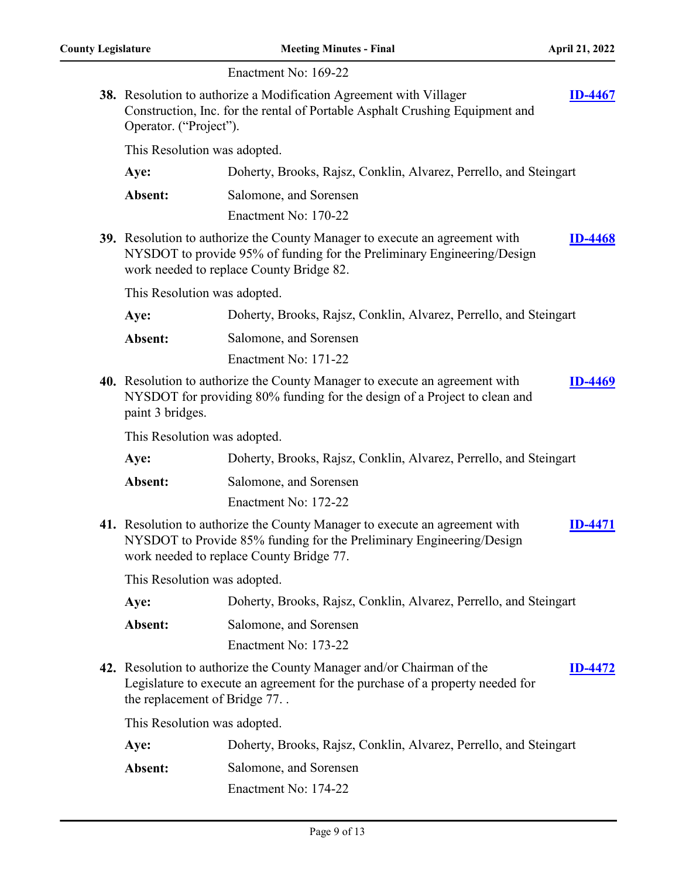|                              | Enactment No: 169-22                                                                                                                                                                               |                |
|------------------------------|----------------------------------------------------------------------------------------------------------------------------------------------------------------------------------------------------|----------------|
| Operator. ("Project").       | 38. Resolution to authorize a Modification Agreement with Villager<br>Construction, Inc. for the rental of Portable Asphalt Crushing Equipment and                                                 | <b>ID-4467</b> |
| This Resolution was adopted. |                                                                                                                                                                                                    |                |
| Aye:                         | Doherty, Brooks, Rajsz, Conklin, Alvarez, Perrello, and Steingart                                                                                                                                  |                |
| Absent:                      | Salomone, and Sorensen                                                                                                                                                                             |                |
|                              | Enactment No: 170-22                                                                                                                                                                               |                |
|                              | 39. Resolution to authorize the County Manager to execute an agreement with<br>NYSDOT to provide 95% of funding for the Preliminary Engineering/Design<br>work needed to replace County Bridge 82. | <b>ID-4468</b> |
| This Resolution was adopted. |                                                                                                                                                                                                    |                |
| Aye:                         | Doherty, Brooks, Rajsz, Conklin, Alvarez, Perrello, and Steingart                                                                                                                                  |                |
| Absent:                      | Salomone, and Sorensen                                                                                                                                                                             |                |
|                              | Enactment No: 171-22                                                                                                                                                                               |                |
| paint 3 bridges.             | 40. Resolution to authorize the County Manager to execute an agreement with<br>NYSDOT for providing 80% funding for the design of a Project to clean and                                           | <b>ID-4469</b> |
| This Resolution was adopted. |                                                                                                                                                                                                    |                |
| Aye:                         | Doherty, Brooks, Rajsz, Conklin, Alvarez, Perrello, and Steingart                                                                                                                                  |                |
| Absent:                      | Salomone, and Sorensen                                                                                                                                                                             |                |
|                              | Enactment No: 172-22                                                                                                                                                                               |                |
|                              | 41. Resolution to authorize the County Manager to execute an agreement with<br>NYSDOT to Provide 85% funding for the Preliminary Engineering/Design<br>work needed to replace County Bridge 77.    | <b>ID-4471</b> |
| This Resolution was adopted. |                                                                                                                                                                                                    |                |
| Aye:                         | Doherty, Brooks, Rajsz, Conklin, Alvarez, Perrello, and Steingart                                                                                                                                  |                |
| Absent:                      | Salomone, and Sorensen                                                                                                                                                                             |                |
|                              | Enactment No: 173-22                                                                                                                                                                               |                |
| the replacement of Bridge 77 | 42. Resolution to authorize the County Manager and/or Chairman of the<br>Legislature to execute an agreement for the purchase of a property needed for                                             | <b>ID-4472</b> |
| This Resolution was adopted. |                                                                                                                                                                                                    |                |
| Aye:                         | Doherty, Brooks, Rajsz, Conklin, Alvarez, Perrello, and Steingart                                                                                                                                  |                |
| Absent:                      | Salomone, and Sorensen                                                                                                                                                                             |                |
|                              | Enactment No: 174-22                                                                                                                                                                               |                |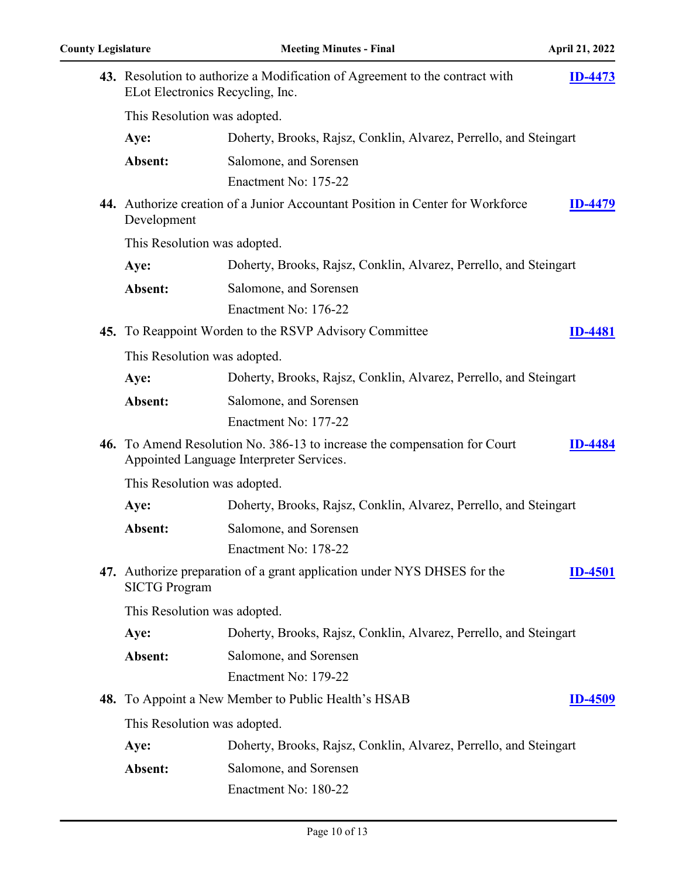| 43. Resolution to authorize a Modification of Agreement to the contract with<br>$ID-4473$<br>ELot Electronics Recycling, Inc. |                                                                                                                       |                |
|-------------------------------------------------------------------------------------------------------------------------------|-----------------------------------------------------------------------------------------------------------------------|----------------|
| This Resolution was adopted.                                                                                                  |                                                                                                                       |                |
| Aye:                                                                                                                          | Doherty, Brooks, Rajsz, Conklin, Alvarez, Perrello, and Steingart                                                     |                |
| Absent:                                                                                                                       | Salomone, and Sorensen                                                                                                |                |
|                                                                                                                               | Enactment No: 175-22                                                                                                  |                |
| Development                                                                                                                   | 44. Authorize creation of a Junior Accountant Position in Center for Workforce                                        | <b>ID-4479</b> |
| This Resolution was adopted.                                                                                                  |                                                                                                                       |                |
| Aye:                                                                                                                          | Doherty, Brooks, Rajsz, Conklin, Alvarez, Perrello, and Steingart                                                     |                |
| Absent:                                                                                                                       | Salomone, and Sorensen                                                                                                |                |
|                                                                                                                               | Enactment No: 176-22                                                                                                  |                |
|                                                                                                                               | 45. To Reappoint Worden to the RSVP Advisory Committee                                                                | <b>ID-4481</b> |
| This Resolution was adopted.                                                                                                  |                                                                                                                       |                |
| Aye:                                                                                                                          | Doherty, Brooks, Rajsz, Conklin, Alvarez, Perrello, and Steingart                                                     |                |
| Absent:                                                                                                                       | Salomone, and Sorensen                                                                                                |                |
|                                                                                                                               | Enactment No: 177-22                                                                                                  |                |
|                                                                                                                               | 46. To Amend Resolution No. 386-13 to increase the compensation for Court<br>Appointed Language Interpreter Services. | ID-4484        |
| This Resolution was adopted.                                                                                                  |                                                                                                                       |                |
| Aye:                                                                                                                          | Doherty, Brooks, Rajsz, Conklin, Alvarez, Perrello, and Steingart                                                     |                |
| Absent:                                                                                                                       | Salomone, and Sorensen                                                                                                |                |
|                                                                                                                               | Enactment No: 178-22                                                                                                  |                |
| <b>SICTG Program</b>                                                                                                          | 47. Authorize preparation of a grant application under NYS DHSES for the                                              | <b>ID-4501</b> |
| This Resolution was adopted.                                                                                                  |                                                                                                                       |                |
| Aye:                                                                                                                          | Doherty, Brooks, Rajsz, Conklin, Alvarez, Perrello, and Steingart                                                     |                |
| Absent:                                                                                                                       | Salomone, and Sorensen                                                                                                |                |
|                                                                                                                               | Enactment No: 179-22                                                                                                  |                |
|                                                                                                                               | <b>48.</b> To Appoint a New Member to Public Health's HSAB                                                            | <b>ID-4509</b> |
| This Resolution was adopted.                                                                                                  |                                                                                                                       |                |
| Aye:                                                                                                                          | Doherty, Brooks, Rajsz, Conklin, Alvarez, Perrello, and Steingart                                                     |                |
| Absent:                                                                                                                       | Salomone, and Sorensen                                                                                                |                |
|                                                                                                                               | Enactment No: 180-22                                                                                                  |                |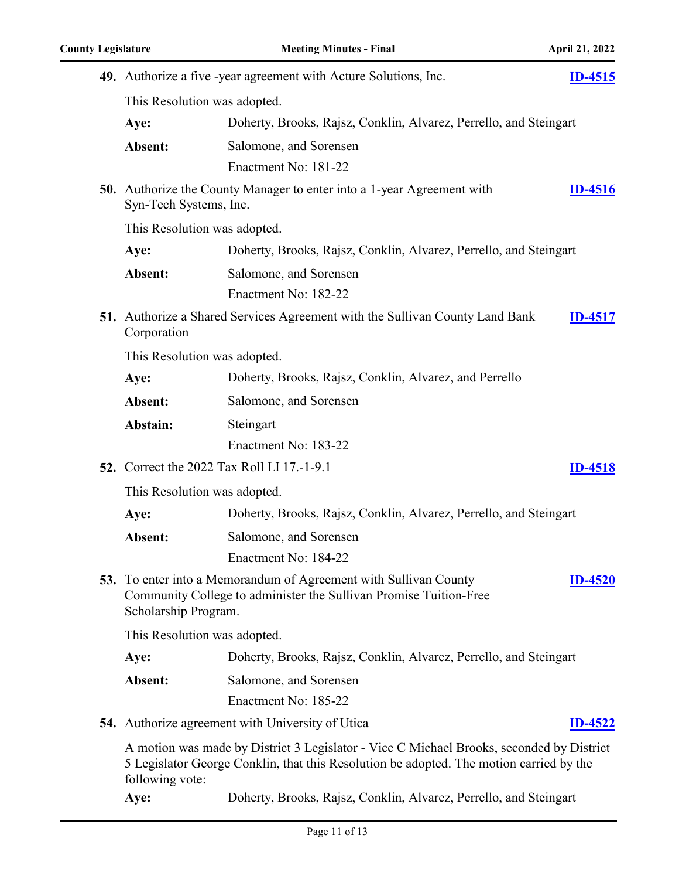|                              | 49. Authorize a five -year agreement with Acture Solutions, Inc.                                                                                                                    | <b>ID-4515</b> |
|------------------------------|-------------------------------------------------------------------------------------------------------------------------------------------------------------------------------------|----------------|
| This Resolution was adopted. |                                                                                                                                                                                     |                |
| Aye:                         | Doherty, Brooks, Rajsz, Conklin, Alvarez, Perrello, and Steingart                                                                                                                   |                |
| Absent:                      | Salomone, and Sorensen                                                                                                                                                              |                |
|                              | Enactment No: 181-22                                                                                                                                                                |                |
| Syn-Tech Systems, Inc.       | <b>50.</b> Authorize the County Manager to enter into a 1-year Agreement with                                                                                                       | <b>ID-4516</b> |
| This Resolution was adopted. |                                                                                                                                                                                     |                |
| Aye:                         | Doherty, Brooks, Rajsz, Conklin, Alvarez, Perrello, and Steingart                                                                                                                   |                |
| Absent:                      | Salomone, and Sorensen                                                                                                                                                              |                |
|                              | Enactment No: 182-22                                                                                                                                                                |                |
| Corporation                  | <b>51.</b> Authorize a Shared Services Agreement with the Sullivan County Land Bank                                                                                                 | <b>ID-4517</b> |
| This Resolution was adopted. |                                                                                                                                                                                     |                |
| Aye:                         | Doherty, Brooks, Rajsz, Conklin, Alvarez, and Perrello                                                                                                                              |                |
| Absent:                      | Salomone, and Sorensen                                                                                                                                                              |                |
| Abstain:                     | Steingart                                                                                                                                                                           |                |
|                              | Enactment No: 183-22                                                                                                                                                                |                |
|                              | <b>52.</b> Correct the 2022 Tax Roll LI 17.-1-9.1                                                                                                                                   | <b>ID-4518</b> |
| This Resolution was adopted. |                                                                                                                                                                                     |                |
| Aye:                         | Doherty, Brooks, Rajsz, Conklin, Alvarez, Perrello, and Steingart                                                                                                                   |                |
| Absent:                      | Salomone, and Sorensen                                                                                                                                                              |                |
|                              | Enactment No: 184-22                                                                                                                                                                |                |
| Scholarship Program.         | <b>53.</b> To enter into a Memorandum of Agreement with Sullivan County<br>Community College to administer the Sullivan Promise Tuition-Free                                        | <b>ID-4520</b> |
| This Resolution was adopted. |                                                                                                                                                                                     |                |
| Aye:                         | Doherty, Brooks, Rajsz, Conklin, Alvarez, Perrello, and Steingart                                                                                                                   |                |
| Absent:                      | Salomone, and Sorensen                                                                                                                                                              |                |
|                              | Enactment No: 185-22                                                                                                                                                                |                |
|                              | <b>54.</b> Authorize agreement with University of Utica                                                                                                                             | <b>ID-4522</b> |
| following vote:              | A motion was made by District 3 Legislator - Vice C Michael Brooks, seconded by District<br>5 Legislator George Conklin, that this Resolution be adopted. The motion carried by the |                |

**Aye:** Doherty, Brooks, Rajsz, Conklin, Alvarez, Perrello, and Steingart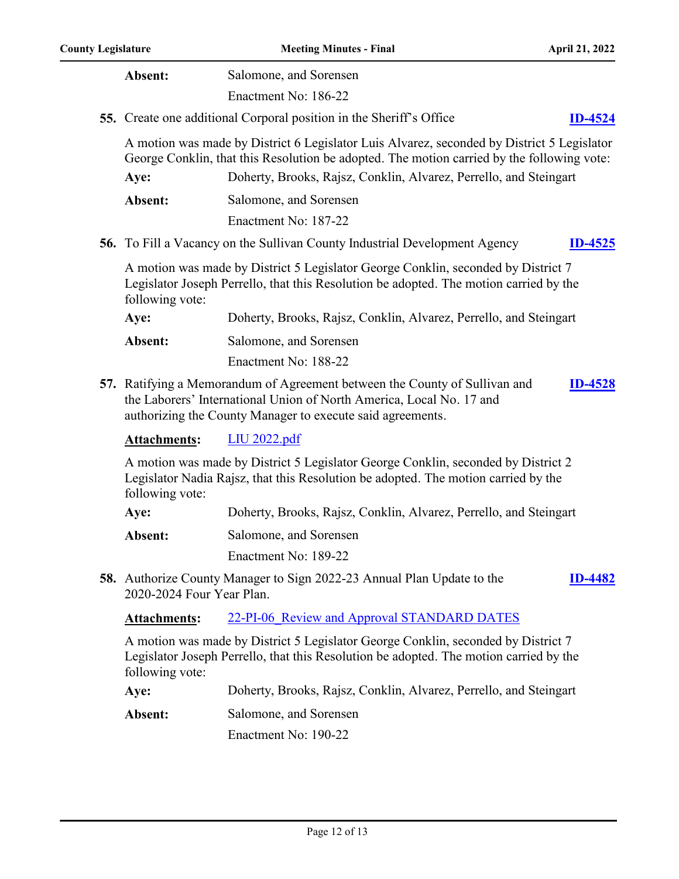| Absent:                   | Salomone, and Sorensen                                                                                                                                                                                                                                        |                |
|---------------------------|---------------------------------------------------------------------------------------------------------------------------------------------------------------------------------------------------------------------------------------------------------------|----------------|
|                           | Enactment No: 186-22                                                                                                                                                                                                                                          |                |
|                           | <b>55.</b> Create one additional Corporal position in the Sheriff's Office                                                                                                                                                                                    | <b>ID-4524</b> |
| Aye:                      | A motion was made by District 6 Legislator Luis Alvarez, seconded by District 5 Legislator<br>George Conklin, that this Resolution be adopted. The motion carried by the following vote:<br>Doherty, Brooks, Rajsz, Conklin, Alvarez, Perrello, and Steingart |                |
| Absent:                   | Salomone, and Sorensen                                                                                                                                                                                                                                        |                |
|                           | Enactment No: 187-22                                                                                                                                                                                                                                          |                |
|                           | <b>56.</b> To Fill a Vacancy on the Sullivan County Industrial Development Agency                                                                                                                                                                             | <b>ID-4525</b> |
| following vote:           | A motion was made by District 5 Legislator George Conklin, seconded by District 7<br>Legislator Joseph Perrello, that this Resolution be adopted. The motion carried by the                                                                                   |                |
| Aye:                      | Doherty, Brooks, Rajsz, Conklin, Alvarez, Perrello, and Steingart                                                                                                                                                                                             |                |
| Absent:                   | Salomone, and Sorensen                                                                                                                                                                                                                                        |                |
|                           | Enactment No: 188-22                                                                                                                                                                                                                                          |                |
|                           | 57. Ratifying a Memorandum of Agreement between the County of Sullivan and<br>the Laborers' International Union of North America, Local No. 17 and<br>authorizing the County Manager to execute said agreements.                                              | <b>ID-4528</b> |
| <b>Attachments:</b>       | <b>LIU 2022.pdf</b>                                                                                                                                                                                                                                           |                |
| following vote:           | A motion was made by District 5 Legislator George Conklin, seconded by District 2<br>Legislator Nadia Rajsz, that this Resolution be adopted. The motion carried by the                                                                                       |                |
| Aye:                      | Doherty, Brooks, Rajsz, Conklin, Alvarez, Perrello, and Steingart                                                                                                                                                                                             |                |
| Absent:                   | Salomone, and Sorensen                                                                                                                                                                                                                                        |                |
|                           | Enactment No: 189-22                                                                                                                                                                                                                                          |                |
| 2020-2024 Four Year Plan. | <b>58.</b> Authorize County Manager to Sign 2022-23 Annual Plan Update to the                                                                                                                                                                                 | ID-4482        |
| <b>Attachments:</b>       | 22-PI-06 Review and Approval STANDARD DATES                                                                                                                                                                                                                   |                |
| following vote:           | A motion was made by District 5 Legislator George Conklin, seconded by District 7<br>Legislator Joseph Perrello, that this Resolution be adopted. The motion carried by the                                                                                   |                |
| Aye:                      | Doherty, Brooks, Rajsz, Conklin, Alvarez, Perrello, and Steingart                                                                                                                                                                                             |                |
| Absent:                   | Salomone, and Sorensen                                                                                                                                                                                                                                        |                |
|                           | Enactment No: 190-22                                                                                                                                                                                                                                          |                |